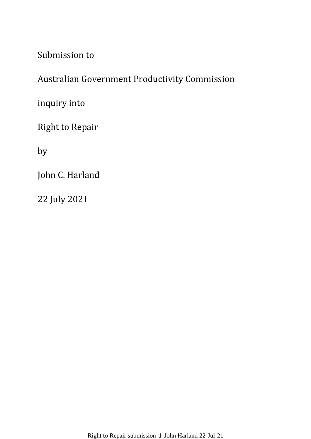Submission to

# Australian Government Productivity Commission

inquiry into

Right to Repair

by

John C. Harland

22 July 2021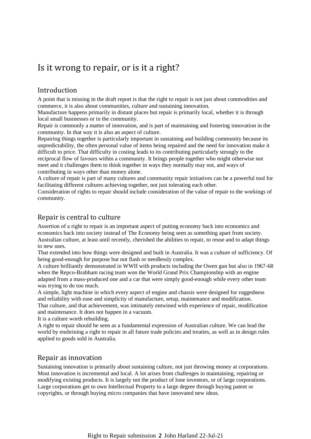# Is it wrong to repair, or is it a right?

## Introduction

A point that is missing in the draft report is that the right to repair is not just about commodities and commerce, it is also about communities, culture and sustaining innovation.

Manufacture happens primarily in distant places but repair is primarily local, whether it is through local small businesses or in the community.

Repair is commonly a matter of innovation, and is part of maintaining and fostering innovation in the community. In that way it is also an aspect of culture.

Repairing things together is particularly important in sustaining and building community because its unpredictability, the often personal value of items being repaired and the need for innovation make it difficult to price. That difficulty in costing leads to its contributing particularly strongly to the reciprocal flow of favours within a community. It brings people together who might otherwise not meet and it challenges them to think together in ways they normally may not, and ways of contributing in ways other than money alone.

A culture of repair is part of many cultures and community repair initiatives can be a powerful tool for facilitating different cultures achieving together, not just tolerating each other.

Consideration of rights to repair should include consideration of the value of repair to the workings of community.

# Repair is central to culture

Assertion of a right to repair is an important aspect of putting economy back into economics and economics back into society instead of The Economy being seen as something apart from society. Australian culture, at least until recently, cherished the abilities to repair, to reuse and to adapt things to new uses.

That extended into how things were designed and built in Australia. It was a culture of sufficiency. Of being good-enough for purpose but not flash or needlessly complex.

A culture brilliantly demonstrated in WWII with products including the Owen gun but also in 1967-68 when the Repco-Brabham racing team won the World Grand Prix Championship with an engine adapted from a mass-produced one and a car that were simply good-enough while every other team was trying to do too much.

A simple, light machine in which every aspect of engine and chassis were designed for ruggedness and reliability with ease and simplicity of manufacture, setup, maintenance and modification.

That culture, and that achievement, was intimately entwined with experience of repair, modification and maintenance. It does not happen in a vacuum.

It is a culture worth rebuilding.

A right to repair should be seen as a fundamental expression of Australian culture. We can lead the world by enshrining a right to repair in all future trade policies and treaties, as well as in design rules applied to goods sold in Australia.

#### Repair as innovation

Sustaining innovation is primarily about sustaining culture, not just throwing money at corporations. Most innovation is incremental and local. A lot arises from challenges in maintaining, repairing or modifying existing products. It is largely not the product of lone inventors, or of large corporations. Large corporations get to own Intellectual Property to a large degree through buying patent or copyrights, or through buying micro companies that have innovated new ideas.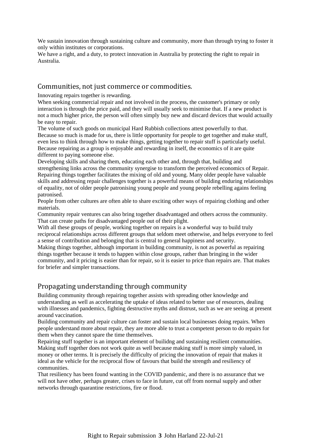We sustain innovation through sustaining culture and community, more than through trying to foster it only within institutes or corporations.

We have a right, and a duty, to protect innovation in Australia by protecting the right to repair in Australia.

#### Communities, not just commerce or commodities.

Innovating repairs together is rewarding.

When seeking commercial repair and not involved in the process, the customer's primary or only interaction is through the price paid, and they will usually seek to minimise that. If a new product is not a much higher price, the person will often simply buy new and discard devices that would actually be easy to repair.

The volume of such goods on municipal Hard Rubbish collections attest powerfully to that. Because so much is made for us, there is little opportunity for people to get together and make stuff, even less to think through how to make things, getting together to repair stuff is particularly useful. Because repairing as a group is enjoyable and rewarding in itself, the economics of it are quite different to paying someone else.

Developing skills and sharing them, educating each other and, through that, building and strengthening links across the community synergise to transform the perceived economics of Repair. Repairing things together facilitates the mixing of old and young. Many older people have valuable skills and addressing repair challenges together is a powerful means of building enduring relationships of equality, not of older people patronising young people and young people rebelling agains feeling patronised.

People from other cultures are often able to share exciting other ways of repairing clothing and other materials.

Community repair ventures can also bring together disadvantaged and others across the community. That can create paths for disadvantaged people out of their plight.

With all these groups of people, working together on repairs is a wonderful way to build truly reciprocal relationships across different groups that seldom meet otherwise, and helps everyone to feel a sense of contribution and belonging that is central to general happiness and security.

Making things together, although important in building community, is not as powerful as repairing things together because it tends to happen within close groups, rather than bringing in the wider community, and it pricing is easier than for repair, so it is easier to price than repairs are. That makes for briefer and simpler transactions.

#### Propagating understanding through community

Building community through repairing together assists with spreading other knowledge and understanding as well as accelerating the uptake of ideas related to better use of resources, dealing with illnesses and pandemics, fighting destructive myths and distrust, such as we are seeing at present around vaccination.

Building community and repair culture can foster and sustain local businesses doing repairs. When people understand more about repair, they are more able to trust a competent person to do repairs for them when they cannot spare the time themselves.

Repairing stuff together is an important element of builidng and sustaining resilient communities. Making stuff together does not work quite as well because making stuff is more simply valued, in money or other terms. It is precisely the difficulty of pricing the innovation of repair that makes it ideal as the vehicle for the reciprocal flow of favours that build the strength and resiliency of communities.

That resiliency has been found wanting in the COVID pandemic, and there is no assurance that we will not have other, perhaps greater, crises to face in future, cut off from normal supply and other networks through quarantine restrictions, fire or flood.